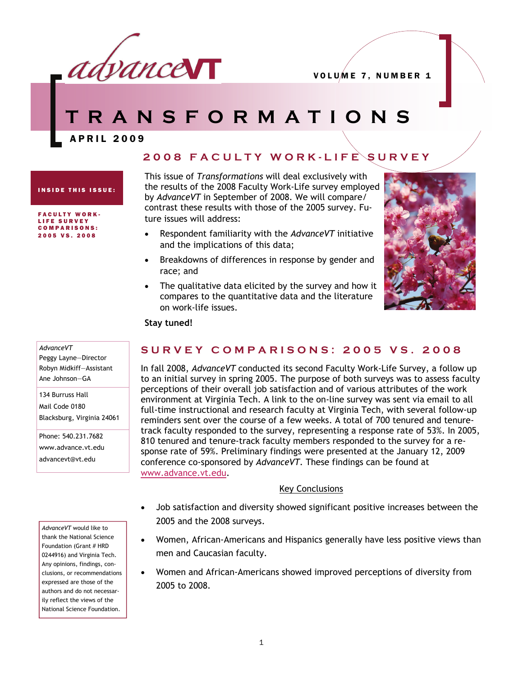

# **TRANSFORMATIONS**

APRIL 2009

## **2008 FACULTY WORK-LIFE SURVEY**

INSIDE THIS ISSUE:

FACULTY WORK-LIFE SURVEY COMPARISONS: 2005 VS. 2008

This issue of *Transformations* will deal exclusively with the results of the 2008 Faculty Work-Life survey employed by *AdvanceVT* in September of 2008. We will compare/ contrast these results with those of the 2005 survey. Future issues will address:

- Respondent familiarity with the *AdvanceVT* initiative and the implications of this data;
- Breakdowns of differences in response by gender and race; and
- The qualitative data elicited by the survey and how it compares to the quantitative data and the literature on work-life issues.



#### **Stay tuned!**

#### *AdvanceVT* Peggy Layne—Director Robyn Midkiff—Assistant Ane Johnson—GA

134 Burruss Hall Mail Code 0180 Blacksburg, Virginia 24061

Phone: 540.231.7682 www.advance.vt.edu advancevt@vt.edu

*AdvanceVT* would like to thank the National Science Foundation (Grant # HRD 0244916) and Virginia Tech. Any opinions, findings, conclusions, or recommendations expressed are those of the authors and do not necessarily reflect the views of the National Science Foundation.

# **SURVEY COMPARISONS: 2005 VS. 2008**

In fall 2008, *AdvanceVT* conducted its second Faculty Work-Life Survey, a follow up to an initial survey in spring 2005. The purpose of both surveys was to assess faculty perceptions of their overall job satisfaction and of various attributes of the work environment at Virginia Tech. A link to the on-line survey was sent via email to all full-time instructional and research faculty at Virginia Tech, with several follow-up reminders sent over the course of a few weeks. A total of 700 tenured and tenuretrack faculty responded to the survey, representing a response rate of 53%. In 2005, 810 tenured and tenure-track faculty members responded to the survey for a response rate of 59%. Preliminary findings were presented at the January 12, 2009 conference co-sponsored by *AdvanceVT*. These findings can be found at [www.advance.vt.edu.](http://www.advance.vt.edu)

#### Key Conclusions

- Job satisfaction and diversity showed significant positive increases between the 2005 and the 2008 surveys.
- Women, African-Americans and Hispanics generally have less positive views than men and Caucasian faculty.
- Women and African-Americans showed improved perceptions of diversity from 2005 to 2008.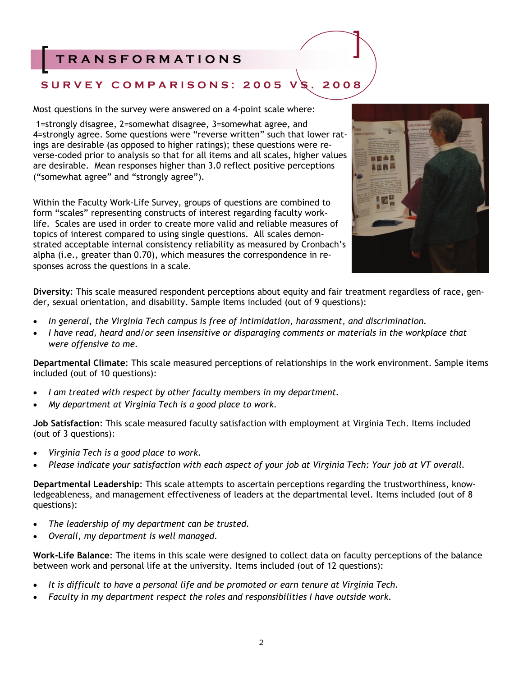# **TRANSFORMATIONS**

# **SURVEY COMPARISONS: 2005 VS. 2008**

Most questions in the survey were answered on a 4-point scale where:

 1=strongly disagree, 2=somewhat disagree, 3=somewhat agree, and 4=strongly agree. Some questions were "reverse written" such that lower ratings are desirable (as opposed to higher ratings); these questions were reverse-coded prior to analysis so that for all items and all scales, higher values are desirable. Mean responses higher than 3.0 reflect positive perceptions ("somewhat agree" and "strongly agree").

Within the Faculty Work-Life Survey, groups of questions are combined to form "scales" representing constructs of interest regarding faculty worklife. Scales are used in order to create more valid and reliable measures of topics of interest compared to using single questions. All scales demonstrated acceptable internal consistency reliability as measured by Cronbach's alpha (i.e., greater than 0.70), which measures the correspondence in responses across the questions in a scale.



**Diversity**: This scale measured respondent perceptions about equity and fair treatment regardless of race, gender, sexual orientation, and disability. Sample items included (out of 9 questions):

- *In general, the Virginia Tech campus is free of intimidation, harassment, and discrimination.*
- *I have read, heard and/or seen insensitive or disparaging comments or materials in the workplace that were offensive to me.*

**Departmental Climate**: This scale measured perceptions of relationships in the work environment. Sample items included (out of 10 questions):

- *I am treated with respect by other faculty members in my department.*
- *My department at Virginia Tech is a good place to work.*

**Job Satisfaction**: This scale measured faculty satisfaction with employment at Virginia Tech. Items included (out of 3 questions):

- *Virginia Tech is a good place to work.*
- *Please indicate your satisfaction with each aspect of your job at Virginia Tech: Your job at VT overall.*

**Departmental Leadership**: This scale attempts to ascertain perceptions regarding the trustworthiness, knowledgeableness, and management effectiveness of leaders at the departmental level. Items included (out of 8 questions):

- *The leadership of my department can be trusted.*
- *Overall, my department is well managed.*

**Work-Life Balance**: The items in this scale were designed to collect data on faculty perceptions of the balance between work and personal life at the university. Items included (out of 12 questions):

- *It is difficult to have a personal life and be promoted or earn tenure at Virginia Tech.*
- *Faculty in my department respect the roles and responsibilities I have outside work.*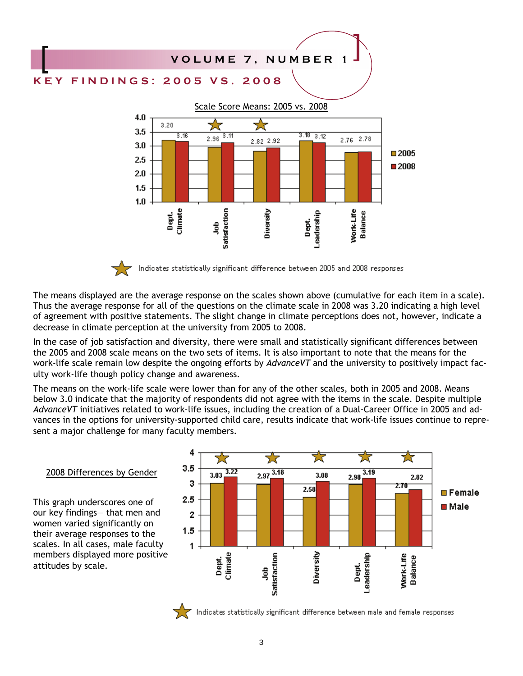

The means displayed are the average response on the scales shown above (cumulative for each item in a scale). Thus the average response for all of the questions on the climate scale in 2008 was 3.20 indicating a high level of agreement with positive statements. The slight change in climate perceptions does not, however, indicate a decrease in climate perception at the university from 2005 to 2008.

In the case of job satisfaction and diversity, there were small and statistically significant differences between the 2005 and 2008 scale means on the two sets of items. It is also important to note that the means for the work-life scale remain low despite the ongoing efforts by *AdvanceVT* and the university to positively impact faculty work-life though policy change and awareness.

The means on the work-life scale were lower than for any of the other scales, both in 2005 and 2008. Means below 3.0 indicate that the majority of respondents did not agree with the items in the scale. Despite multiple *AdvanceVT* initiatives related to work-life issues, including the creation of a Dual-Career Office in 2005 and advances in the options for university-supported child care, results indicate that work-life issues continue to represent a major challenge for many faculty members.



#### 2008 Differences by Gender

This graph underscores one of our key findings— that men and women varied significantly on their average responses to the scales. In all cases, male faculty members displayed more positive attitudes by scale.

Indicates statistically significant difference between male and female responses